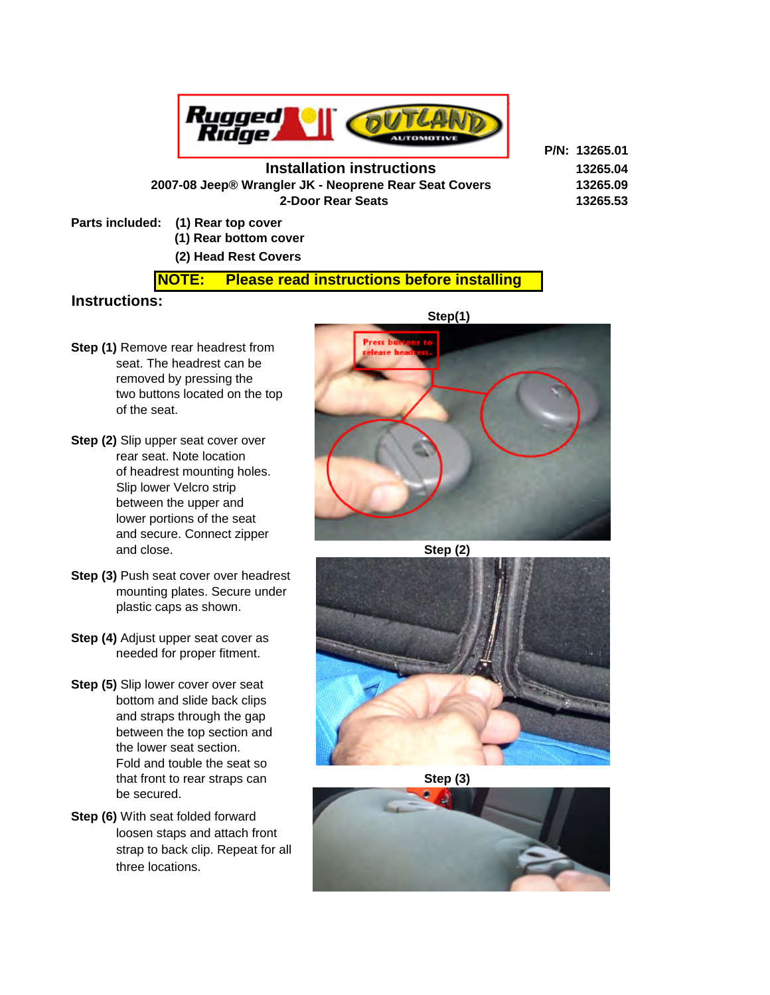

## **Installation instructions 13265.04**

**P/N: 13265.01**

 **2007-08 Jeep® Wrangler JK - Neoprene Rear Seat Covers 13265.09 2-Door Rear Seats 13265.53**

**Parts included: (1) Rear top cover**

 **(1) Rear bottom cover**

# **(2) Head Rest Covers**

#### **NOTE: Please read instructions before installing**

## **Instructions:**

- **Step (1)** Remove rear headrest from seat. The headrest can be removed by pressing the two buttons located on the top of the seat.
- **Step (2)** Slip upper seat cover over rear seat. Note location of headrest mounting holes. Slip lower Velcro strip between the upper and lower portions of the seat and secure. Connect zipper and close. Step (2) **Step (2)**
- **Step (3) Push seat cover over headrest**  mounting plates. Secure under plastic caps as shown.
- **Step (4)** Adjust upper seat cover as needed for proper fitment.
- **Step (5)** Slip lower cover over seat bottom and slide back clips and straps through the gap between the top section and the lower seat section. Fold and touble the seat so that front to rear straps can **Step (3)** be secured.
- **Step (6)** With seat folded forward loosen staps and attach front strap to back clip. Repeat for all three locations.







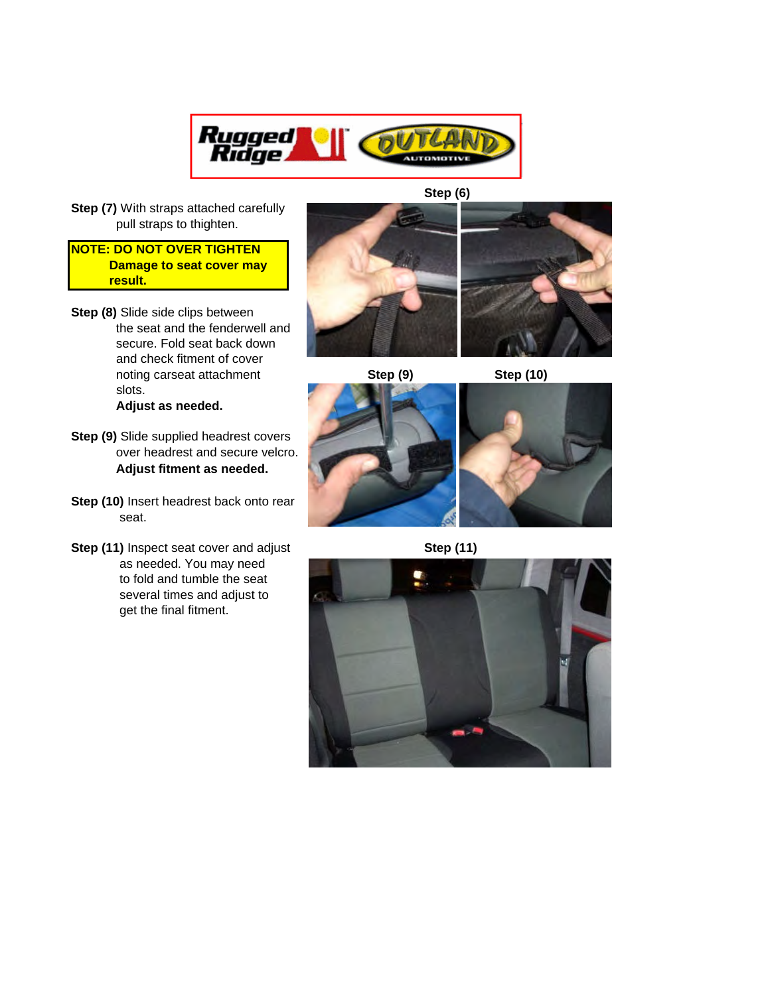

 **Step (6)** 

**Step (7)** With straps attached carefully pull straps to thighten.

#### **NOTE: DO NOT OVER TIGHTEN Damage to seat cover may result.**

- **Step (8)** Slide side clips between the seat and the fenderwell and secure. Fold seat back down and check fitment of cover noting carseat attachment **Step (9)** Step (10) slots.  **Adjust as needed.**
- **Step (9)** Slide supplied headrest covers over headrest and secure velcro.  **Adjust fitment as needed.**
- **Step (10)** Insert headrest back onto rear seat.
- **Step (11)** Inspect seat cover and adjust **Step (11) Step (11)**  as needed. You may need to fold and tumble the seat several times and adjust to get the final fitment.